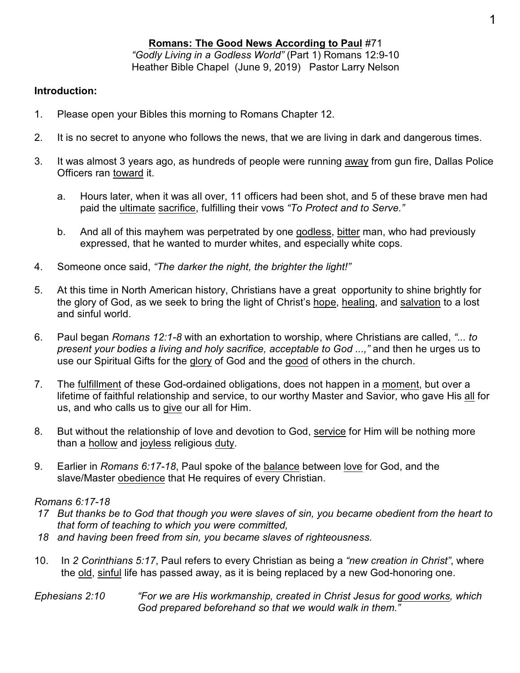#### **Romans: The Good News According to Paul** #71 *"Godly Living in a Godless World"* (Part 1) Romans 12:9-10 Heather Bible Chapel (June 9, 2019) Pastor Larry Nelson

### **Introduction:**

- 1. Please open your Bibles this morning to Romans Chapter 12.
- 2. It is no secret to anyone who follows the news, that we are living in dark and dangerous times.
- 3. It was almost 3 years ago, as hundreds of people were running away from gun fire, Dallas Police Officers ran toward it.
	- a. Hours later, when it was all over, 11 officers had been shot, and 5 of these brave men had paid the ultimate sacrifice, fulfilling their vows *"To Protect and to Serve."*
	- b. And all of this mayhem was perpetrated by one godless, bitter man, who had previously expressed, that he wanted to murder whites, and especially white cops.
- 4. Someone once said, *"The darker the night, the brighter the light!"*
- 5. At this time in North American history, Christians have a great opportunity to shine brightly for the glory of God, as we seek to bring the light of Christ's hope, healing, and salvation to a lost and sinful world.
- 6. Paul began *Romans 12:1-8* with an exhortation to worship, where Christians are called, *"... to present your bodies a living and holy sacrifice, acceptable to God ...,"* and then he urges us to use our Spiritual Gifts for the glory of God and the good of others in the church.
- 7. The fulfillment of these God-ordained obligations, does not happen in a moment, but over a lifetime of faithful relationship and service, to our worthy Master and Savior, who gave His all for us, and who calls us to give our all for Him.
- 8. But without the relationship of love and devotion to God, service for Him will be nothing more than a hollow and joyless religious duty.
- 9. Earlier in *Romans 6:17-18*, Paul spoke of the balance between love for God, and the slave/Master obedience that He requires of every Christian.

### *Romans 6:17-18*

- *17 But thanks be to God that though you were slaves of sin, you became obedient from the heart to that form of teaching to which you were committed,*
- *18 and having been freed from sin, you became slaves of righteousness.*
- 10. In *2 Corinthians 5:17*, Paul refers to every Christian as being a *"new creation in Christ"*, where the old, sinful life has passed away, as it is being replaced by a new God-honoring one.
- *Ephesians 2:10 "For we are His workmanship, created in Christ Jesus for good works, which God prepared beforehand so that we would walk in them."*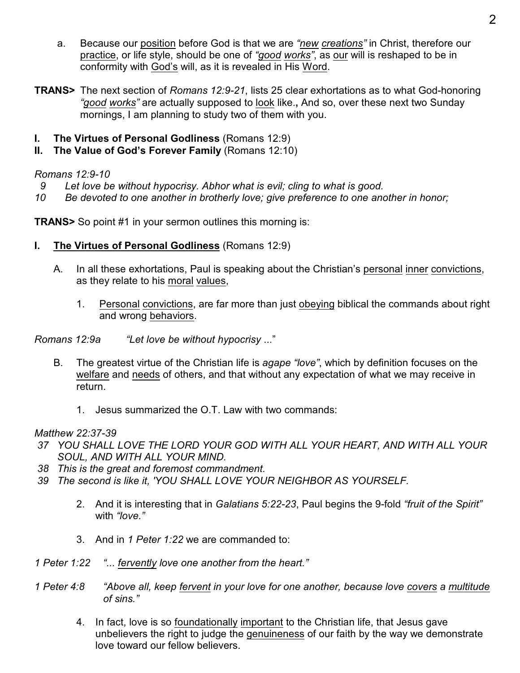- a. Because our position before God is that we are *"new creations"* in Christ, therefore our practice, or life style, should be one of *"good works"*, as our will is reshaped to be in conformity with God's will, as it is revealed in His Word.
- **TRANS>** The next section of *Romans 12:9-21*, lists 25 clear exhortations as to what God-honoring *"good works"* are actually supposed to look like.**,** And so, over these next two Sunday mornings, I am planning to study two of them with you.
- **I. The Virtues of Personal Godliness** (Romans 12:9)
- **II.** The Value of God's Forever Family (Romans 12:10)

## *Romans 12:9-10*

- *9 Let love be without hypocrisy. Abhor what is evil; cling to what is good.*
- *10 Be devoted to one another in brotherly love; give preference to one another in honor;*

**TRANS>** So point #1 in your sermon outlines this morning is:

- **I. The Virtues of Personal Godliness** (Romans 12:9)
	- A. In all these exhortations, Paul is speaking about the Christian's personal inner convictions, as they relate to his moral values,
		- 1. Personal convictions, are far more than just obeying biblical the commands about right and wrong behaviors.

*Romans 12:9a "Let love be without hypocrisy* ..."

- B. The greatest virtue of the Christian life is *agape "love"*, which by definition focuses on the welfare and needs of others, and that without any expectation of what we may receive in return.
	- 1. Jesus summarized the O.T. Law with two commands:

## *Matthew 22:37-39*

- *37 YOU SHALL LOVE THE LORD YOUR GOD WITH ALL YOUR HEART, AND WITH ALL YOUR SOUL, AND WITH ALL YOUR MIND.*
- *38 This is the great and foremost commandment.*
- *39 The second is like it, 'YOU SHALL LOVE YOUR NEIGHBOR AS YOURSELF.*
	- 2. And it is interesting that in *Galatians 5:22-23*, Paul begins the 9-fold *"fruit of the Spirit"* with *"love."*
	- 3. And in *1 Peter 1:22* we are commanded to:
- *1 Peter 1:22 "... fervently love one another from the heart."*
- *1 Peter 4:8 "Above all, keep fervent in your love for one another, because love covers a multitude of sins."*
	- 4. In fact, love is so foundationally important to the Christian life, that Jesus gave unbelievers the right to judge the genuineness of our faith by the way we demonstrate love toward our fellow believers.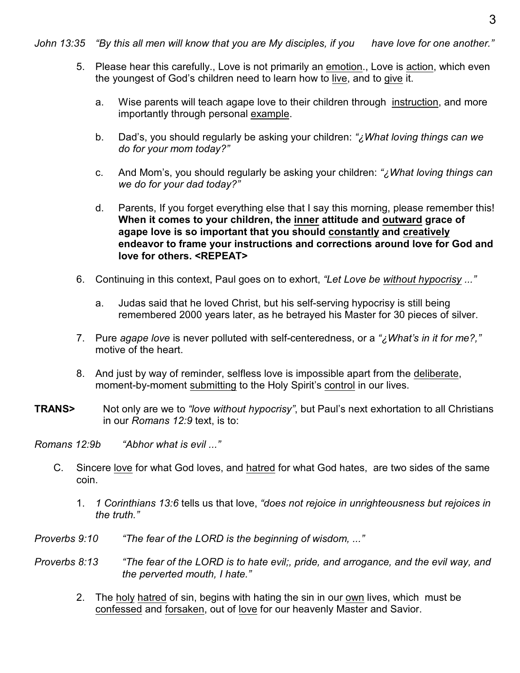*John 13:35 "By this all men will know that you are My disciples, if you have love for one another."*

- 5. Please hear this carefully., Love is not primarily an emotion., Love is action, which even the youngest of God's children need to learn how to live, and to give it.
	- a. Wise parents will teach agape love to their children through instruction, and more importantly through personal example.
	- b. Dad's, you should regularly be asking your children: *"¿What loving things can we do for your mom today?"*
	- c. And Mom's, you should regularly be asking your children: *"¿What loving things can we do for your dad today?"*
	- d. Parents, If you forget everything else that I say this morning, please remember this! **When it comes to your children, the inner attitude and outward grace of agape love is so important that you should constantly and creatively endeavor to frame your instructions and corrections around love for God and love for others. <REPEAT>**
- 6. Continuing in this context, Paul goes on to exhort, *"Let Love be without hypocrisy ..."*
	- a. Judas said that he loved Christ, but his self-serving hypocrisy is still being remembered 2000 years later, as he betrayed his Master for 30 pieces of silver.
- 7. Pure *agape love* is never polluted with self-centeredness, or a *"¿What's in it for me?,"* motive of the heart.
- 8. And just by way of reminder, selfless love is impossible apart from the deliberate, moment-by-moment submitting to the Holy Spirit's control in our lives.
- **TRANS>** Not only are we to *"love without hypocrisy"*, but Paul's next exhortation to all Christians in our *Romans 12:9* text, is to:

*Romans 12:9b "Abhor what is evil ..."*

- C. Sincere love for what God loves, and hatred for what God hates, are two sides of the same coin.
	- 1. *1 Corinthians 13:6* tells us that love, *"does not rejoice in unrighteousness but rejoices in the truth."*
- *Proverbs 9:10 "The fear of the LORD is the beginning of wisdom, ..."*
- *Proverbs 8:13 "The fear of the LORD is to hate evil;, pride, and arrogance, and the evil way, and the perverted mouth, I hate."*
	- 2. The holy hatred of sin, begins with hating the sin in our own lives, which must be confessed and forsaken, out of love for our heavenly Master and Savior.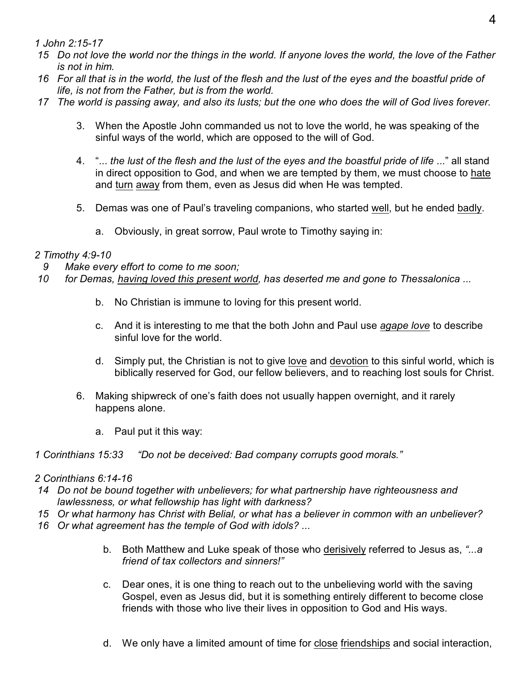*1 John 2:15-17* 

- *15 Do not love the world nor the things in the world. If anyone loves the world, the love of the Father is not in him.*
- *16 For all that is in the world, the lust of the flesh and the lust of the eyes and the boastful pride of life, is not from the Father, but is from the world.*
- *17 The world is passing away, and also its lusts; but the one who does the will of God lives forever.*
	- 3. When the Apostle John commanded us not to love the world, he was speaking of the sinful ways of the world, which are opposed to the will of God.
	- 4. "... *the lust of the flesh and the lust of the eyes and the boastful pride of life* ..." all stand in direct opposition to God, and when we are tempted by them, we must choose to hate and turn away from them, even as Jesus did when He was tempted.
	- 5. Demas was one of Paul's traveling companions, who started well, but he ended badly.
		- a. Obviously, in great sorrow, Paul wrote to Timothy saying in:

# *2 Timothy 4:9-10*

- *9 Make every effort to come to me soon;*
- *10 for Demas, having loved this present world, has deserted me and gone to Thessalonica ...*
	- b. No Christian is immune to loving for this present world.
	- c. And it is interesting to me that the both John and Paul use *agape love* to describe sinful love for the world.
	- d. Simply put, the Christian is not to give love and devotion to this sinful world, which is biblically reserved for God, our fellow believers, and to reaching lost souls for Christ.
	- 6. Making shipwreck of one's faith does not usually happen overnight, and it rarely happens alone.
		- a. Paul put it this way:
- *1 Corinthians 15:33 "Do not be deceived: Bad company corrupts good morals."*

# *2 Corinthians 6:14-16*

- *14 Do not be bound together with unbelievers; for what partnership have righteousness and lawlessness, or what fellowship has light with darkness?*
- *15 Or what harmony has Christ with Belial, or what has a believer in common with an unbeliever?*
- *16 Or what agreement has the temple of God with idols? ...*
	- b. Both Matthew and Luke speak of those who derisively referred to Jesus as, *"...a friend of tax collectors and sinners!"*
	- c. Dear ones, it is one thing to reach out to the unbelieving world with the saving Gospel, even as Jesus did, but it is something entirely different to become close friends with those who live their lives in opposition to God and His ways.
	- d. We only have a limited amount of time for close friendships and social interaction,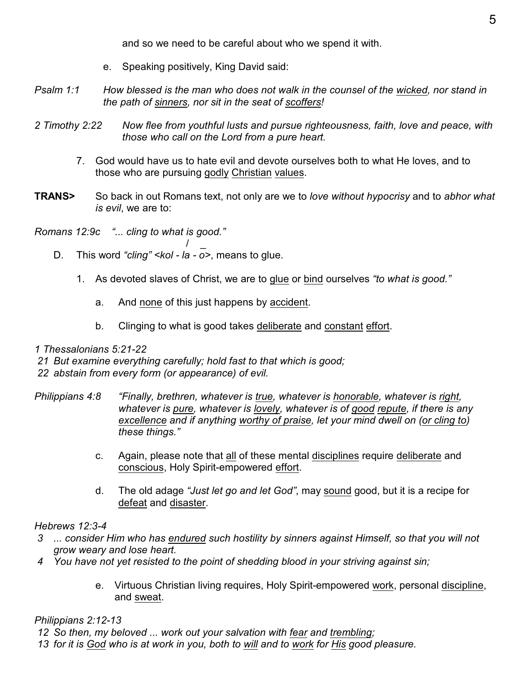and so we need to be careful about who we spend it with.

- e. Speaking positively, King David said:
- *Psalm 1:1 How blessed is the man who does not walk in the counsel of the wicked, nor stand in the path of sinners, nor sit in the seat of scoffers!*
- *2 Timothy 2:22 Now flee from youthful lusts and pursue righteousness, faith, love and peace, with those who call on the Lord from a pure heart.*
	- 7. God would have us to hate evil and devote ourselves both to what He loves, and to those who are pursuing godly Christian values.
- **TRANS>** So back in out Romans text, not only are we to *love without hypocrisy* and to *abhor what is evil*, we are to:

*Romans 12:9c "... cling to what is good."*

- $\frac{1}{\sqrt{2}}$ D. This word *"cling" <kol - la - o>*, means to glue.
	- 1. As devoted slaves of Christ, we are to glue or bind ourselves *"to what is good."*
		- a. And none of this just happens by accident.
		- b. Clinging to what is good takes deliberate and constant effort.
- *1 Thessalonians 5:21-22*
- *21 But examine everything carefully; hold fast to that which is good;*
- *22 abstain from every form (or appearance) of evil.*
- *Philippians 4:8 "Finally, brethren, whatever is true, whatever is honorable, whatever is right, whatever is pure, whatever is lovely, whatever is of good repute, if there is any excellence and if anything worthy of praise, let your mind dwell on (or cling to) these things."*
	- c. Again, please note that all of these mental disciplines require deliberate and conscious, Holy Spirit-empowered effort.
	- d. The old adage *"Just let go and let God"*, may sound good, but it is a recipe for defeat and disaster.

### *Hebrews 12:3-4*

- *3 ... consider Him who has endured such hostility by sinners against Himself, so that you will not grow weary and lose heart.*
- *4 You have not yet resisted to the point of shedding blood in your striving against sin;*
	- e. Virtuous Christian living requires, Holy Spirit-empowered work, personal discipline, and sweat.

*Philippians 2:12-13*

 *12 So then, my beloved ... work out your salvation with fear and trembling;*

 *13 for it is God who is at work in you, both to will and to work for His good pleasure.*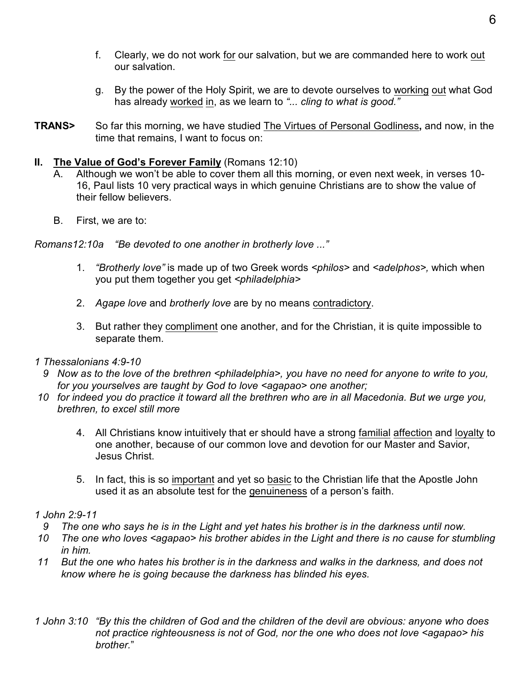- f. Clearly, we do not work for our salvation, but we are commanded here to work out our salvation.
- g. By the power of the Holy Spirit, we are to devote ourselves to working out what God has already worked in, as we learn to *"... cling to what is good."*
- **TRANS>** So far this morning, we have studied The Virtues of Personal Godliness**,** and now, in the time that remains, I want to focus on:

#### **II.** The Value of God's Forever Family (Romans 12:10)

- A. Although we won't be able to cover them all this morning, or even next week, in verses 10- 16, Paul lists 10 very practical ways in which genuine Christians are to show the value of their fellow believers.
- B. First, we are to:

*Romans12:10a "Be devoted to one another in brotherly love ..."*

- 1. *"Brotherly love"* is made up of two Greek words *<philos>* and *<adelphos>,* which when you put them together you get *<philadelphia>*
- 2. *Agape love* and *brotherly love* are by no means contradictory.
- 3. But rather they compliment one another, and for the Christian, it is quite impossible to separate them.
- *1 Thessalonians 4:9-10*
	- *9 Now as to the love of the brethren <philadelphia>, you have no need for anyone to write to you, for you yourselves are taught by God to love <agapao> one another;*
- *10 for indeed you do practice it toward all the brethren who are in all Macedonia. But we urge you, brethren, to excel still more*
	- 4. All Christians know intuitively that er should have a strong familial affection and loyalty to one another, because of our common love and devotion for our Master and Savior, Jesus Christ.
	- 5. In fact, this is so important and yet so basic to the Christian life that the Apostle John used it as an absolute test for the genuineness of a person's faith.

### *1 John 2:9-11*

- *9 The one who says he is in the Light and yet hates his brother is in the darkness until now.*
- *10 The one who loves <agapao> his brother abides in the Light and there is no cause for stumbling in him.*
- *11 But the one who hates his brother is in the darkness and walks in the darkness, and does not know where he is going because the darkness has blinded his eyes.*
- *1 John 3:10 "By this the children of God and the children of the devil are obvious: anyone who does not practice righteousness is not of God, nor the one who does not love <agapao> his brother.*"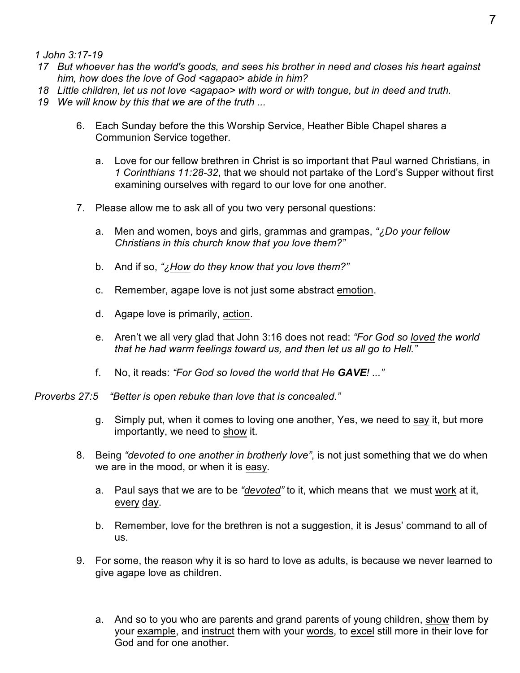*1 John 3:17-19* 

- *17 But whoever has the world's goods, and sees his brother in need and closes his heart against him, how does the love of God <agapao> abide in him?*
- *18 Little children, let us not love <agapao> with word or with tongue, but in deed and truth.*
- *19 We will know by this that we are of the truth ...*
	- 6. Each Sunday before the this Worship Service, Heather Bible Chapel shares a Communion Service together.
		- a. Love for our fellow brethren in Christ is so important that Paul warned Christians, in *1 Corinthians 11:28-32*, that we should not partake of the Lord's Supper without first examining ourselves with regard to our love for one another.
	- 7. Please allow me to ask all of you two very personal questions:
		- a. Men and women, boys and girls, grammas and grampas, *"¿Do your fellow Christians in this church know that you love them?"*
		- b. And if so, *"¿How do they know that you love them?"*
		- c. Remember, agape love is not just some abstract emotion.
		- d. Agape love is primarily, action.
		- e. Aren't we all very glad that John 3:16 does not read: *"For God so loved the world that he had warm feelings toward us, and then let us all go to Hell."*
		- f. No, it reads: *"For God so loved the world that He GAVE! ..."*
- *Proverbs 27:5 "Better is open rebuke than love that is concealed."*
	- g. Simply put, when it comes to loving one another, Yes, we need to say it, but more importantly, we need to show it.
	- 8. Being *"devoted to one another in brotherly love"*, is not just something that we do when we are in the mood, or when it is easy.
		- a. Paul says that we are to be *"devoted"* to it, which means that we must work at it, every day.
		- b. Remember, love for the brethren is not a suggestion, it is Jesus' command to all of us.
	- 9. For some, the reason why it is so hard to love as adults, is because we never learned to give agape love as children.
		- a. And so to you who are parents and grand parents of young children, show them by your example, and instruct them with your words, to excel still more in their love for God and for one another.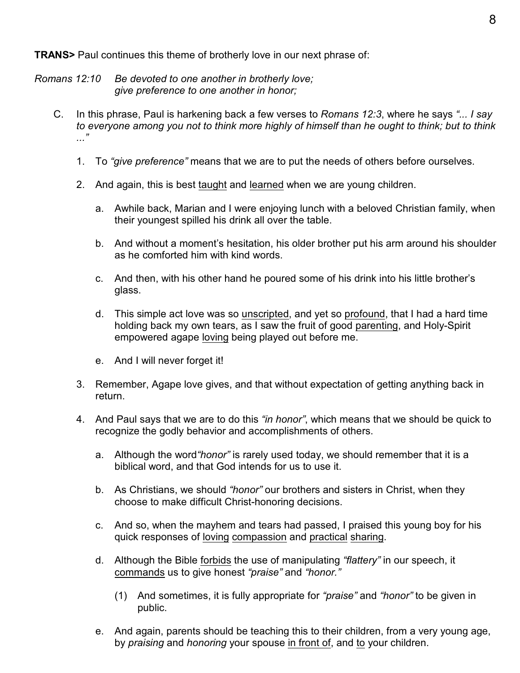**TRANS>** Paul continues this theme of brotherly love in our next phrase of:

*Romans 12:10 Be devoted to one another in brotherly love; give preference to one another in honor;*

- C. In this phrase, Paul is harkening back a few verses to *Romans 12:3*, where he says *"... I say to everyone among you not to think more highly of himself than he ought to think; but to think ..."*
	- 1. To *"give preference"* means that we are to put the needs of others before ourselves.
	- 2. And again, this is best taught and learned when we are young children.
		- a. Awhile back, Marian and I were enjoying lunch with a beloved Christian family, when their youngest spilled his drink all over the table.
		- b. And without a moment's hesitation, his older brother put his arm around his shoulder as he comforted him with kind words.
		- c. And then, with his other hand he poured some of his drink into his little brother's glass.
		- d. This simple act love was so unscripted, and yet so profound, that I had a hard time holding back my own tears, as I saw the fruit of good parenting, and Holy-Spirit empowered agape loving being played out before me.
		- e. And I will never forget it!
	- 3. Remember, Agape love gives, and that without expectation of getting anything back in return.
	- 4. And Paul says that we are to do this *"in honor"*, which means that we should be quick to recognize the godly behavior and accomplishments of others.
		- a. Although the word*"honor"* is rarely used today, we should remember that it is a biblical word, and that God intends for us to use it.
		- b. As Christians, we should *"honor"* our brothers and sisters in Christ, when they choose to make difficult Christ-honoring decisions.
		- c. And so, when the mayhem and tears had passed, I praised this young boy for his quick responses of loving compassion and practical sharing.
		- d. Although the Bible forbids the use of manipulating *"flattery"* in our speech, it commands us to give honest *"praise"* and *"honor."*
			- (1) And sometimes, it is fully appropriate for *"praise"* and *"honor"* to be given in public.
		- e. And again, parents should be teaching this to their children, from a very young age, by *praising* and *honoring* your spouse in front of, and to your children.